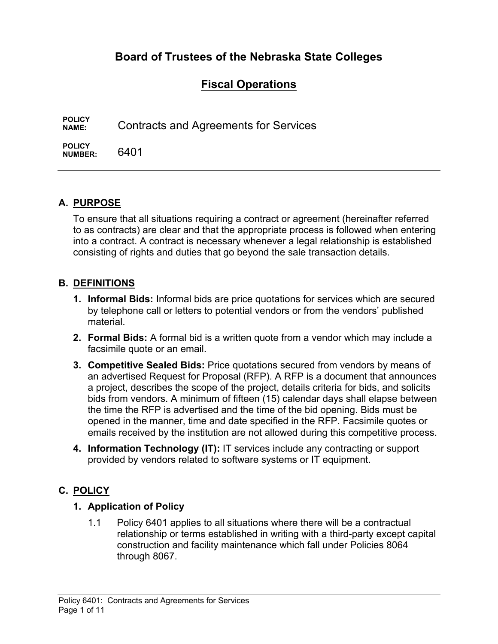# **Board of Trustees of the Nebraska State Colleges**

# **Fiscal Operations**

**POLICY NAME:** Contracts and Agreements for Services

**POLICY NUMBER:** 6401

## **A. PURPOSE**

To ensure that all situations requiring a contract or agreement (hereinafter referred to as contracts) are clear and that the appropriate process is followed when entering into a contract. A contract is necessary whenever a legal relationship is established consisting of rights and duties that go beyond the sale transaction details.

#### **B. DEFINITIONS**

- **1. Informal Bids:** Informal bids are price quotations for services which are secured by telephone call or letters to potential vendors or from the vendors' published material.
- **2. Formal Bids:** A formal bid is a written quote from a vendor which may include a facsimile quote or an email.
- **3. Competitive Sealed Bids:** Price quotations secured from vendors by means of an advertised Request for Proposal (RFP). A RFP is a document that announces a project, describes the scope of the project, details criteria for bids, and solicits bids from vendors. A minimum of fifteen (15) calendar days shall elapse between the time the RFP is advertised and the time of the bid opening. Bids must be opened in the manner, time and date specified in the RFP. Facsimile quotes or emails received by the institution are not allowed during this competitive process.
- **4. Information Technology (IT):** IT services include any contracting or support provided by vendors related to software systems or IT equipment.

### **C. POLICY**

#### **1. Application of Policy**

1.1 Policy 6401 applies to all situations where there will be a contractual relationship or terms established in writing with a third-party except capital construction and facility maintenance which fall under Policies 8064 through 8067.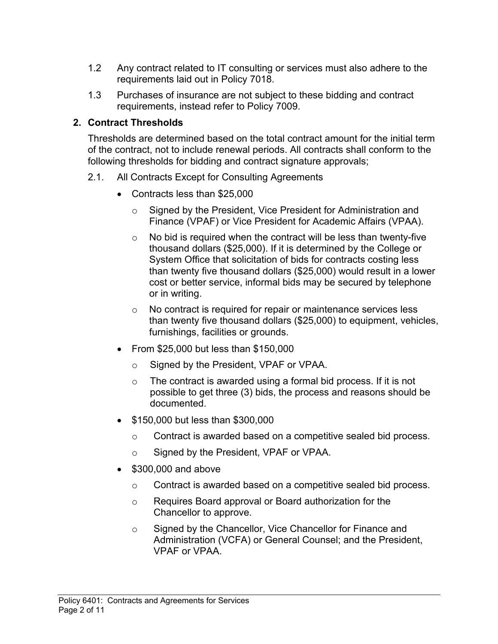- 1.2 Any contract related to IT consulting or services must also adhere to the requirements laid out in Policy 7018.
- 1.3 Purchases of insurance are not subject to these bidding and contract requirements, instead refer to Policy 7009.

### **2. Contract Thresholds**

Thresholds are determined based on the total contract amount for the initial term of the contract, not to include renewal periods. All contracts shall conform to the following thresholds for bidding and contract signature approvals;

- 2.1. All Contracts Except for Consulting Agreements
	- Contracts less than \$25,000
		- o Signed by the President, Vice President for Administration and Finance (VPAF) or Vice President for Academic Affairs (VPAA).
		- $\circ$  No bid is required when the contract will be less than twenty-five thousand dollars (\$25,000). If it is determined by the College or System Office that solicitation of bids for contracts costing less than twenty five thousand dollars (\$25,000) would result in a lower cost or better service, informal bids may be secured by telephone or in writing.
		- o No contract is required for repair or maintenance services less than twenty five thousand dollars (\$25,000) to equipment, vehicles, furnishings, facilities or grounds.
	- From \$25,000 but less than \$150,000
		- o Signed by the President, VPAF or VPAA.
		- $\circ$  The contract is awarded using a formal bid process. If it is not possible to get three (3) bids, the process and reasons should be documented.
	- **\$150,000 but less than \$300,000** 
		- o Contract is awarded based on a competitive sealed bid process.
		- o Signed by the President, VPAF or VPAA.
	- $\bullet$  \$300,000 and above
		- o Contract is awarded based on a competitive sealed bid process.
		- o Requires Board approval or Board authorization for the Chancellor to approve.
		- o Signed by the Chancellor, Vice Chancellor for Finance and Administration (VCFA) or General Counsel; and the President, VPAF or VPAA.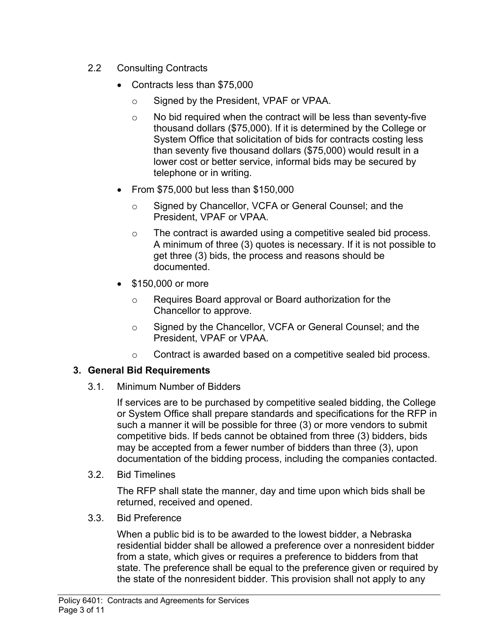- 2.2 Consulting Contracts
	- Contracts less than \$75,000
		- o Signed by the President, VPAF or VPAA.
		- o No bid required when the contract will be less than seventy-five thousand dollars (\$75,000). If it is determined by the College or System Office that solicitation of bids for contracts costing less than seventy five thousand dollars (\$75,000) would result in a lower cost or better service, informal bids may be secured by telephone or in writing.
	- From \$75,000 but less than \$150,000
		- o Signed by Chancellor, VCFA or General Counsel; and the President, VPAF or VPAA.
		- o The contract is awarded using a competitive sealed bid process. A minimum of three (3) quotes is necessary. If it is not possible to get three (3) bids, the process and reasons should be documented.
	- **\$150,000 or more** 
		- o Requires Board approval or Board authorization for the Chancellor to approve.
		- o Signed by the Chancellor, VCFA or General Counsel; and the President, VPAF or VPAA.
		- o Contract is awarded based on a competitive sealed bid process.

## **3. General Bid Requirements**

3.1. Minimum Number of Bidders

If services are to be purchased by competitive sealed bidding, the College or System Office shall prepare standards and specifications for the RFP in such a manner it will be possible for three (3) or more vendors to submit competitive bids. If beds cannot be obtained from three (3) bidders, bids may be accepted from a fewer number of bidders than three (3), upon documentation of the bidding process, including the companies contacted.

3.2. Bid Timelines

The RFP shall state the manner, day and time upon which bids shall be returned, received and opened.

3.3. Bid Preference

When a public bid is to be awarded to the lowest bidder, a Nebraska residential bidder shall be allowed a preference over a nonresident bidder from a state, which gives or requires a preference to bidders from that state. The preference shall be equal to the preference given or required by the state of the nonresident bidder. This provision shall not apply to any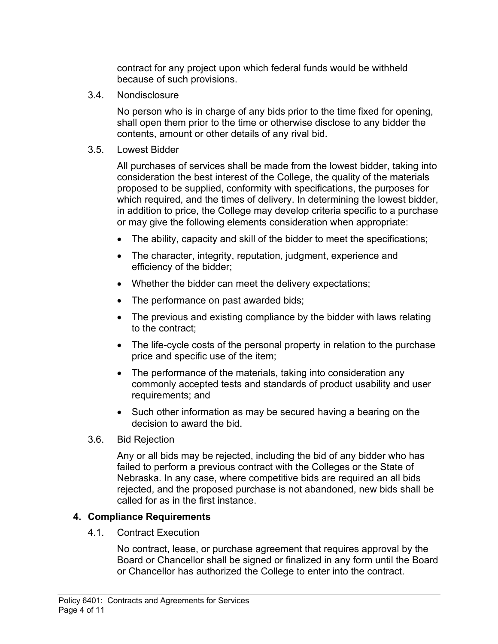contract for any project upon which federal funds would be withheld because of such provisions.

3.4. Nondisclosure

No person who is in charge of any bids prior to the time fixed for opening, shall open them prior to the time or otherwise disclose to any bidder the contents, amount or other details of any rival bid.

3.5. Lowest Bidder

All purchases of services shall be made from the lowest bidder, taking into consideration the best interest of the College, the quality of the materials proposed to be supplied, conformity with specifications, the purposes for which required, and the times of delivery. In determining the lowest bidder, in addition to price, the College may develop criteria specific to a purchase or may give the following elements consideration when appropriate:

- The ability, capacity and skill of the bidder to meet the specifications;
- The character, integrity, reputation, judgment, experience and efficiency of the bidder;
- Whether the bidder can meet the delivery expectations;
- The performance on past awarded bids;
- The previous and existing compliance by the bidder with laws relating to the contract;
- The life-cycle costs of the personal property in relation to the purchase price and specific use of the item;
- The performance of the materials, taking into consideration any commonly accepted tests and standards of product usability and user requirements; and
- Such other information as may be secured having a bearing on the decision to award the bid.
- 3.6. Bid Rejection

Any or all bids may be rejected, including the bid of any bidder who has failed to perform a previous contract with the Colleges or the State of Nebraska. In any case, where competitive bids are required an all bids rejected, and the proposed purchase is not abandoned, new bids shall be called for as in the first instance.

#### **4. Compliance Requirements**

4.1. Contract Execution

No contract, lease, or purchase agreement that requires approval by the Board or Chancellor shall be signed or finalized in any form until the Board or Chancellor has authorized the College to enter into the contract.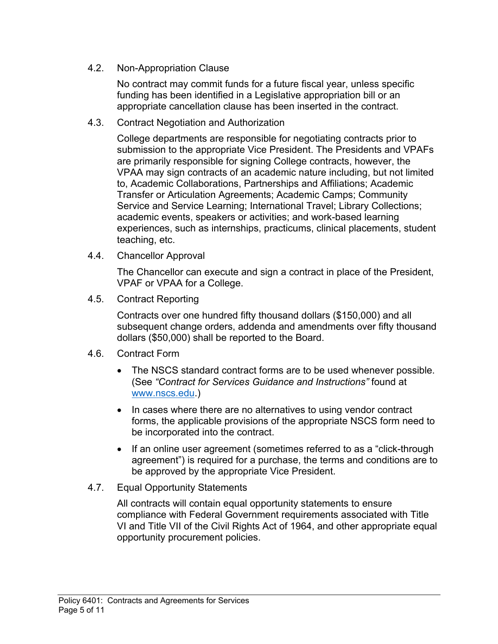4.2. Non-Appropriation Clause

No contract may commit funds for a future fiscal year, unless specific funding has been identified in a Legislative appropriation bill or an appropriate cancellation clause has been inserted in the contract.

4.3. Contract Negotiation and Authorization

College departments are responsible for negotiating contracts prior to submission to the appropriate Vice President. The Presidents and VPAFs are primarily responsible for signing College contracts, however, the VPAA may sign contracts of an academic nature including, but not limited to, Academic Collaborations, Partnerships and Affiliations; Academic Transfer or Articulation Agreements; Academic Camps; Community Service and Service Learning; International Travel; Library Collections; academic events, speakers or activities; and work-based learning experiences, such as internships, practicums, clinical placements, student teaching, etc.

4.4. Chancellor Approval

The Chancellor can execute and sign a contract in place of the President, VPAF or VPAA for a College.

4.5. Contract Reporting

Contracts over one hundred fifty thousand dollars (\$150,000) and all subsequent change orders, addenda and amendments over fifty thousand dollars (\$50,000) shall be reported to the Board.

- 4.6. Contract Form
	- The NSCS standard contract forms are to be used whenever possible. (See *"Contract for Services Guidance and Instructions"* found at www.nscs.edu.)
	- In cases where there are no alternatives to using vendor contract forms, the applicable provisions of the appropriate NSCS form need to be incorporated into the contract.
	- If an online user agreement (sometimes referred to as a "click-through agreement") is required for a purchase, the terms and conditions are to be approved by the appropriate Vice President.
- 4.7. Equal Opportunity Statements

All contracts will contain equal opportunity statements to ensure compliance with Federal Government requirements associated with Title VI and Title VII of the Civil Rights Act of 1964, and other appropriate equal opportunity procurement policies.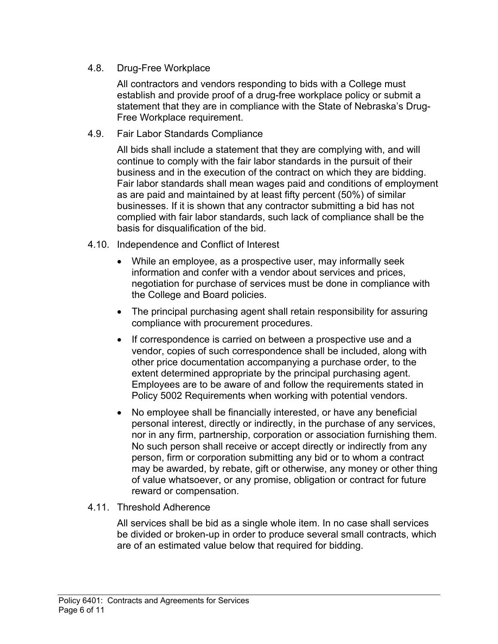4.8. Drug-Free Workplace

All contractors and vendors responding to bids with a College must establish and provide proof of a drug-free workplace policy or submit a statement that they are in compliance with the State of Nebraska's Drug-Free Workplace requirement.

4.9. Fair Labor Standards Compliance

All bids shall include a statement that they are complying with, and will continue to comply with the fair labor standards in the pursuit of their business and in the execution of the contract on which they are bidding. Fair labor standards shall mean wages paid and conditions of employment as are paid and maintained by at least fifty percent (50%) of similar businesses. If it is shown that any contractor submitting a bid has not complied with fair labor standards, such lack of compliance shall be the basis for disqualification of the bid.

- 4.10. Independence and Conflict of Interest
	- While an employee, as a prospective user, may informally seek information and confer with a vendor about services and prices, negotiation for purchase of services must be done in compliance with the College and Board policies.
	- The principal purchasing agent shall retain responsibility for assuring compliance with procurement procedures.
	- If correspondence is carried on between a prospective use and a vendor, copies of such correspondence shall be included, along with other price documentation accompanying a purchase order, to the extent determined appropriate by the principal purchasing agent. Employees are to be aware of and follow the requirements stated in Policy 5002 Requirements when working with potential vendors.
	- No employee shall be financially interested, or have any beneficial personal interest, directly or indirectly, in the purchase of any services, nor in any firm, partnership, corporation or association furnishing them. No such person shall receive or accept directly or indirectly from any person, firm or corporation submitting any bid or to whom a contract may be awarded, by rebate, gift or otherwise, any money or other thing of value whatsoever, or any promise, obligation or contract for future reward or compensation.
- 4.11. Threshold Adherence

All services shall be bid as a single whole item. In no case shall services be divided or broken-up in order to produce several small contracts, which are of an estimated value below that required for bidding.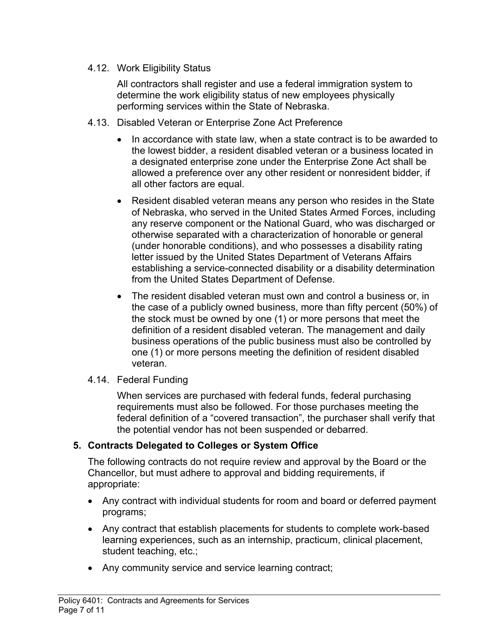#### 4.12. Work Eligibility Status

All contractors shall register and use a federal immigration system to determine the work eligibility status of new employees physically performing services within the State of Nebraska.

- 4.13. Disabled Veteran or Enterprise Zone Act Preference
	- $\bullet$  In accordance with state law, when a state contract is to be awarded to the lowest bidder, a resident disabled veteran or a business located in a designated enterprise zone under the Enterprise Zone Act shall be allowed a preference over any other resident or nonresident bidder, if all other factors are equal.
	- Resident disabled veteran means any person who resides in the State of Nebraska, who served in the United States Armed Forces, including any reserve component or the National Guard, who was discharged or otherwise separated with a characterization of honorable or general (under honorable conditions), and who possesses a disability rating letter issued by the United States Department of Veterans Affairs establishing a service-connected disability or a disability determination from the United States Department of Defense.
	- The resident disabled veteran must own and control a business or, in the case of a publicly owned business, more than fifty percent (50%) of the stock must be owned by one (1) or more persons that meet the definition of a resident disabled veteran. The management and daily business operations of the public business must also be controlled by one (1) or more persons meeting the definition of resident disabled veteran.
- 4.14. Federal Funding

When services are purchased with federal funds, federal purchasing requirements must also be followed. For those purchases meeting the federal definition of a "covered transaction", the purchaser shall verify that the potential vendor has not been suspended or debarred.

### **5. Contracts Delegated to Colleges or System Office**

The following contracts do not require review and approval by the Board or the Chancellor, but must adhere to approval and bidding requirements, if appropriate:

- Any contract with individual students for room and board or deferred payment programs;
- Any contract that establish placements for students to complete work-based learning experiences, such as an internship, practicum, clinical placement, student teaching, etc.;
- Any community service and service learning contract;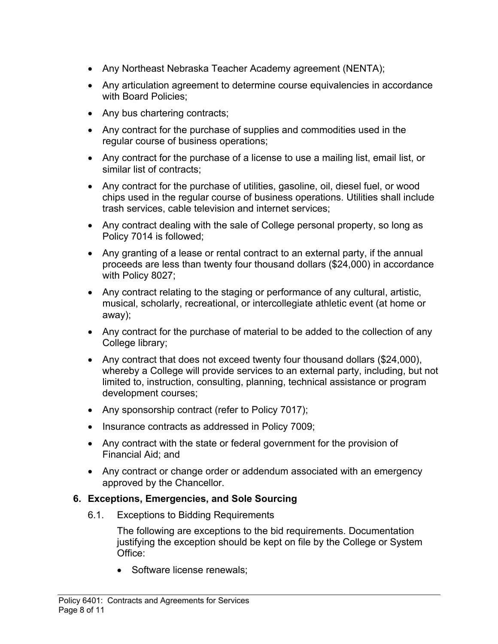- Any Northeast Nebraska Teacher Academy agreement (NENTA);
- Any articulation agreement to determine course equivalencies in accordance with Board Policies;
- Any bus chartering contracts;
- Any contract for the purchase of supplies and commodities used in the regular course of business operations;
- Any contract for the purchase of a license to use a mailing list, email list, or similar list of contracts;
- Any contract for the purchase of utilities, gasoline, oil, diesel fuel, or wood chips used in the regular course of business operations. Utilities shall include trash services, cable television and internet services;
- Any contract dealing with the sale of College personal property, so long as Policy 7014 is followed;
- Any granting of a lease or rental contract to an external party, if the annual proceeds are less than twenty four thousand dollars (\$24,000) in accordance with Policy 8027;
- Any contract relating to the staging or performance of any cultural, artistic, musical, scholarly, recreational, or intercollegiate athletic event (at home or away);
- Any contract for the purchase of material to be added to the collection of any College library;
- Any contract that does not exceed twenty four thousand dollars (\$24,000), whereby a College will provide services to an external party, including, but not limited to, instruction, consulting, planning, technical assistance or program development courses;
- Any sponsorship contract (refer to Policy 7017);
- Insurance contracts as addressed in Policy 7009;
- Any contract with the state or federal government for the provision of Financial Aid; and
- Any contract or change order or addendum associated with an emergency approved by the Chancellor.

### **6. Exceptions, Emergencies, and Sole Sourcing**

6.1. Exceptions to Bidding Requirements

The following are exceptions to the bid requirements. Documentation justifying the exception should be kept on file by the College or System Office:

• Software license renewals: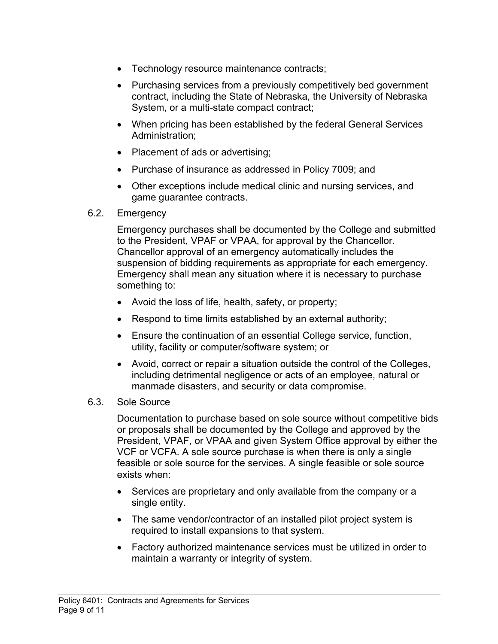- Technology resource maintenance contracts;
- Purchasing services from a previously competitively bed government contract, including the State of Nebraska, the University of Nebraska System, or a multi-state compact contract;
- When pricing has been established by the federal General Services Administration;
- Placement of ads or advertising;
- Purchase of insurance as addressed in Policy 7009; and
- Other exceptions include medical clinic and nursing services, and game guarantee contracts.
- 6.2. Emergency

Emergency purchases shall be documented by the College and submitted to the President, VPAF or VPAA, for approval by the Chancellor. Chancellor approval of an emergency automatically includes the suspension of bidding requirements as appropriate for each emergency. Emergency shall mean any situation where it is necessary to purchase something to:

- Avoid the loss of life, health, safety, or property;
- Respond to time limits established by an external authority;
- Ensure the continuation of an essential College service, function, utility, facility or computer/software system; or
- Avoid, correct or repair a situation outside the control of the Colleges, including detrimental negligence or acts of an employee, natural or manmade disasters, and security or data compromise.

#### 6.3. Sole Source

Documentation to purchase based on sole source without competitive bids or proposals shall be documented by the College and approved by the President, VPAF, or VPAA and given System Office approval by either the VCF or VCFA. A sole source purchase is when there is only a single feasible or sole source for the services. A single feasible or sole source exists when:

- Services are proprietary and only available from the company or a single entity.
- The same vendor/contractor of an installed pilot project system is required to install expansions to that system.
- Factory authorized maintenance services must be utilized in order to maintain a warranty or integrity of system.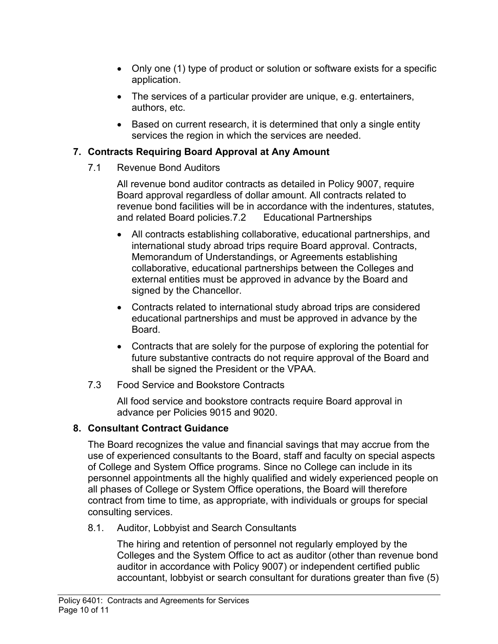- Only one (1) type of product or solution or software exists for a specific application.
- The services of a particular provider are unique, e.g. entertainers, authors, etc.
- Based on current research, it is determined that only a single entity services the region in which the services are needed.

## **7. Contracts Requiring Board Approval at Any Amount**

7.1 Revenue Bond Auditors

 All revenue bond auditor contracts as detailed in Policy 9007, require Board approval regardless of dollar amount. All contracts related to revenue bond facilities will be in accordance with the indentures, statutes, and related Board policies.7.2 Educational Partnerships

- All contracts establishing collaborative, educational partnerships, and international study abroad trips require Board approval. Contracts, Memorandum of Understandings, or Agreements establishing collaborative, educational partnerships between the Colleges and external entities must be approved in advance by the Board and signed by the Chancellor.
- Contracts related to international study abroad trips are considered educational partnerships and must be approved in advance by the Board.
- Contracts that are solely for the purpose of exploring the potential for future substantive contracts do not require approval of the Board and shall be signed the President or the VPAA.
- 7.3 Food Service and Bookstore Contracts

 All food service and bookstore contracts require Board approval in advance per Policies 9015 and 9020.

## **8. Consultant Contract Guidance**

The Board recognizes the value and financial savings that may accrue from the use of experienced consultants to the Board, staff and faculty on special aspects of College and System Office programs. Since no College can include in its personnel appointments all the highly qualified and widely experienced people on all phases of College or System Office operations, the Board will therefore contract from time to time, as appropriate, with individuals or groups for special consulting services.

8.1. Auditor, Lobbyist and Search Consultants

The hiring and retention of personnel not regularly employed by the Colleges and the System Office to act as auditor (other than revenue bond auditor in accordance with Policy 9007) or independent certified public accountant, lobbyist or search consultant for durations greater than five (5)